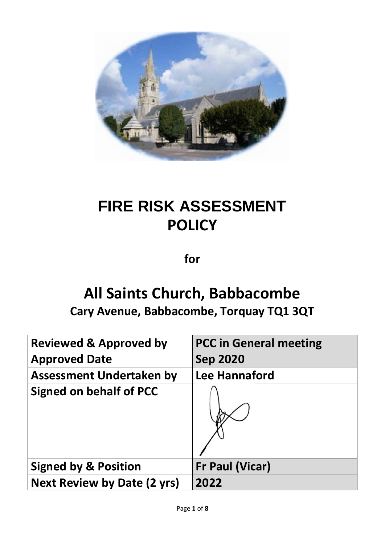

# **FIRE RISK ASSESSMENT POLICY**

**for**

## **All Saints Church, Babbacombe**

**Cary Avenue, Babbacombe, Torquay TQ1 3QT**

| <b>Reviewed &amp; Approved by</b>  | <b>PCC in General meeting</b> |
|------------------------------------|-------------------------------|
| <b>Approved Date</b>               | <b>Sep 2020</b>               |
| <b>Assessment Undertaken by</b>    | Lee Hannaford                 |
| <b>Signed on behalf of PCC</b>     |                               |
| <b>Signed by &amp; Position</b>    | <b>Fr Paul (Vicar)</b>        |
| <b>Next Review by Date (2 yrs)</b> | 2022                          |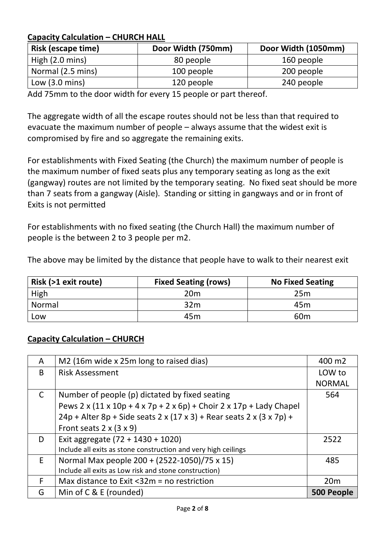#### **Capacity Calculation – CHURCH HALL**

| <b>Risk (escape time)</b> | Door Width (750mm) | Door Width (1050mm) |
|---------------------------|--------------------|---------------------|
| High $(2.0 \text{ mins})$ | 80 people          | 160 people          |
| Normal (2.5 mins)         | 100 people         | 200 people          |
| Low $(3.0 \text{ mins})$  | 120 people         | 240 people          |

Add 75mm to the door width for every 15 people or part thereof.

The aggregate width of all the escape routes should not be less than that required to evacuate the maximum number of people – always assume that the widest exit is compromised by fire and so aggregate the remaining exits.

For establishments with Fixed Seating (the Church) the maximum number of people is the maximum number of fixed seats plus any temporary seating as long as the exit (gangway) routes are not limited by the temporary seating. No fixed seat should be more than 7 seats from a gangway (Aisle). Standing or sitting in gangways and or in front of Exits is not permitted

For establishments with no fixed seating (the Church Hall) the maximum number of people is the between 2 to 3 people per m2.

The above may be limited by the distance that people have to walk to their nearest exit

| Risk (>1 exit route) | <b>Fixed Seating (rows)</b> | <b>No Fixed Seating</b> |
|----------------------|-----------------------------|-------------------------|
| High                 | 20 <sub>m</sub>             | 25m                     |
| Normal               | 32 <sub>m</sub>             | 45 <sub>m</sub>         |
| Low                  | 45m                         | 60 <sub>m</sub>         |

#### **Capacity Calculation – CHURCH**

| A | M2 (16m wide x 25m long to raised dias)                                              | 400 m2        |
|---|--------------------------------------------------------------------------------------|---------------|
| B | <b>Risk Assessment</b>                                                               | LOW to        |
|   |                                                                                      | <b>NORMAL</b> |
| C | Number of people (p) dictated by fixed seating                                       | 564           |
|   | Pews 2 x $(11 \times 10p + 4 \times 7p + 2 \times 6p)$ + Choir 2 x 17p + Lady Chapel |               |
|   | $24p +$ Alter 8p + Side seats 2 x (17 x 3) + Rear seats 2 x (3 x 7p) +               |               |
|   | Front seats $2 \times (3 \times 9)$                                                  |               |
| D | Exit aggregate $(72 + 1430 + 1020)$                                                  | 2522          |
|   | Include all exits as stone construction and very high ceilings                       |               |
| E | Normal Max people 200 + (2522-1050)/75 x 15)                                         | 485           |
|   | Include all exits as Low risk and stone construction)                                |               |
| F | Max distance to Exit $<$ 32m = no restriction                                        | 20m           |
| G | Min of C & E (rounded)                                                               | 500 People    |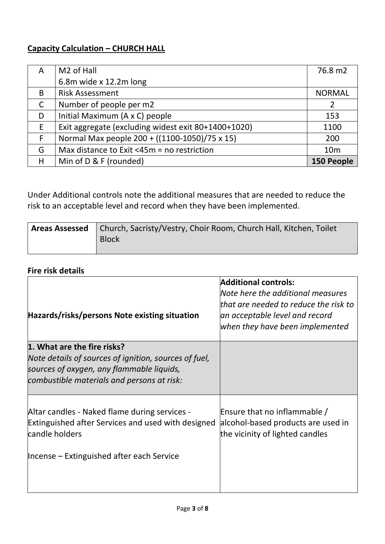### **Capacity Calculation – CHURCH HALL**

| A            | M <sub>2</sub> of Hall                              | 76.8 m2         |
|--------------|-----------------------------------------------------|-----------------|
|              | 6.8m wide x 12.2m long                              |                 |
| B            | <b>Risk Assessment</b>                              | <b>NORMAL</b>   |
| $\mathsf{C}$ | Number of people per m2                             |                 |
| D            | Initial Maximum (A x C) people                      | 153             |
| E            | Exit aggregate (excluding widest exit 80+1400+1020) | 1100            |
| F            | Normal Max people 200 + ((1100-1050)/75 x 15)       | 200             |
| G            | Max distance to Exit <45m = no restriction          | 10 <sub>m</sub> |
| Η            | Min of D & F (rounded)                              | 150 People      |

Under Additional controls note the additional measures that are needed to reduce the risk to an acceptable level and record when they have been implemented.

| <b>Areas Assessed</b>   Church, Sacristy/Vestry, Choir Room, Church Hall, Kitchen, Toilet |
|-------------------------------------------------------------------------------------------|
| <b>Block</b>                                                                              |
|                                                                                           |

#### **Fire risk details**

| Hazards/risks/persons Note existing situation                                                                                | <b>Additional controls:</b><br>Note here the additional measures<br>that are needed to reduce the risk to<br>an acceptable level and record<br>when they have been implemented |
|------------------------------------------------------------------------------------------------------------------------------|--------------------------------------------------------------------------------------------------------------------------------------------------------------------------------|
| 1. What are the fire risks?                                                                                                  |                                                                                                                                                                                |
| Note details of sources of ignition, sources of fuel,<br>sources of oxygen, any flammable liquids,                           |                                                                                                                                                                                |
| combustible materials and persons at risk:                                                                                   |                                                                                                                                                                                |
| Altar candles - Naked flame during services -<br><b>Extinguished after Services and used with designed</b><br>candle holders | Ensure that no inflammable /<br>alcohol-based products are used in<br>the vicinity of lighted candles                                                                          |
| Incense – Extinguished after each Service                                                                                    |                                                                                                                                                                                |
|                                                                                                                              |                                                                                                                                                                                |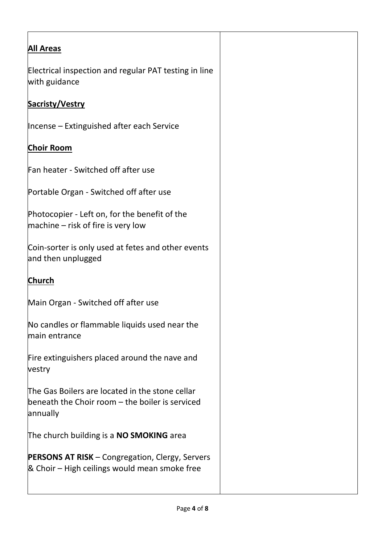| <b>All Areas</b>                                                                                               |
|----------------------------------------------------------------------------------------------------------------|
| Electrical inspection and regular PAT testing in line<br>with guidance                                         |
| <b>Sacristy/Vestry</b>                                                                                         |
| Incense – Extinguished after each Service                                                                      |
| <b>Choir Room</b>                                                                                              |
| Fan heater - Switched off after use                                                                            |
| Portable Organ - Switched off after use                                                                        |
| Photocopier - Left on, for the benefit of the<br>$ $ machine – risk of fire is very low                        |
| Coin-sorter is only used at fetes and other events<br>and then unplugged                                       |
| <b>Church</b>                                                                                                  |
| Main Organ - Switched off after use                                                                            |
| No candles or flammable liquids used near the<br>main entrance                                                 |
| Fire extinguishers placed around the nave and<br>vestry                                                        |
| The Gas Boilers are located in the stone cellar<br>beneath the Choir room - the boiler is serviced<br>annually |
| The church building is a NO SMOKING area                                                                       |
| <b>PERSONS AT RISK - Congregation, Clergy, Servers</b><br>& Choir – High ceilings would mean smoke free        |
|                                                                                                                |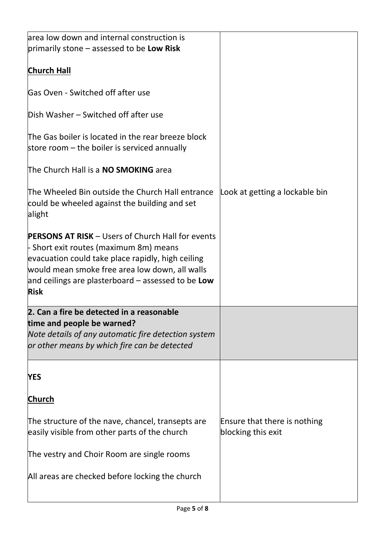| area low down and internal construction is               |                                |
|----------------------------------------------------------|--------------------------------|
| primarily stone – assessed to be Low Risk                |                                |
|                                                          |                                |
| <b>Church Hall</b>                                       |                                |
|                                                          |                                |
| Gas Oven - Switched off after use                        |                                |
|                                                          |                                |
| Dish Washer – Switched off after use                     |                                |
|                                                          |                                |
| The Gas boiler is located in the rear breeze block       |                                |
| store room $-$ the boiler is serviced annually           |                                |
|                                                          |                                |
| The Church Hall is a <b>NO SMOKING</b> area              |                                |
|                                                          |                                |
|                                                          |                                |
| The Wheeled Bin outside the Church Hall entrance         | Look at getting a lockable bin |
| could be wheeled against the building and set            |                                |
| alight                                                   |                                |
|                                                          |                                |
| <b>PERSONS AT RISK - Users of Church Hall for events</b> |                                |
| - Short exit routes (maximum 8m) means                   |                                |
| evacuation could take place rapidly, high ceiling        |                                |
| would mean smoke free area low down, all walls           |                                |
|                                                          |                                |
| and ceilings are plasterboard $-$ assessed to be Low     |                                |
| <b>Risk</b>                                              |                                |
| 2. Can a fire be detected in a reasonable                |                                |
|                                                          |                                |
| time and people be warned?                               |                                |
| Note details of any automatic fire detection system      |                                |
| or other means by which fire can be detected             |                                |
|                                                          |                                |
|                                                          |                                |
| <b>YES</b>                                               |                                |
|                                                          |                                |
| <b>Church</b>                                            |                                |
|                                                          |                                |
| The structure of the nave, chancel, transepts are        | Ensure that there is nothing   |
| easily visible from other parts of the church            | blocking this exit             |
|                                                          |                                |
| The vestry and Choir Room are single rooms               |                                |
|                                                          |                                |
| All areas are checked before locking the church          |                                |
|                                                          |                                |
|                                                          |                                |
|                                                          |                                |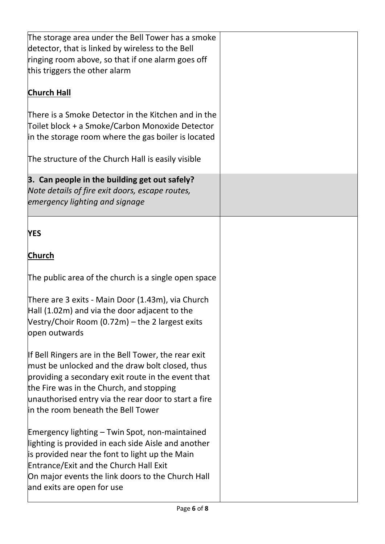| The storage area under the Bell Tower has a smoke                               |  |
|---------------------------------------------------------------------------------|--|
| detector, that is linked by wireless to the Bell                                |  |
| ringing room above, so that if one alarm goes off                               |  |
| this triggers the other alarm                                                   |  |
| <b>Church Hall</b>                                                              |  |
| There is a Smoke Detector in the Kitchen and in the                             |  |
| Toilet block + a Smoke/Carbon Monoxide Detector                                 |  |
| in the storage room where the gas boiler is located                             |  |
|                                                                                 |  |
| The structure of the Church Hall is easily visible                              |  |
| 3. Can people in the building get out safely?                                   |  |
| Note details of fire exit doors, escape routes,                                 |  |
| emergency lighting and signage                                                  |  |
|                                                                                 |  |
| <b>YES</b>                                                                      |  |
| <b>Church</b>                                                                   |  |
| The public area of the church is a single open space                            |  |
| There are 3 exits - Main Door (1.43m), via Church                               |  |
| $Hall (1.02m)$ and via the door adjacent to the                                 |  |
| Vestry/Choir Room (0.72m) - the 2 largest exits                                 |  |
| open outwards                                                                   |  |
|                                                                                 |  |
| If Bell Ringers are in the Bell Tower, the rear exit                            |  |
| must be unlocked and the draw bolt closed, thus                                 |  |
| providing a secondary exit route in the event that                              |  |
| the Fire was in the Church, and stopping                                        |  |
| unauthorised entry via the rear door to start a fire                            |  |
| in the room beneath the Bell Tower                                              |  |
|                                                                                 |  |
| Emergency lighting – Twin Spot, non-maintained                                  |  |
| lighting is provided in each side Aisle and another                             |  |
| is provided near the font to light up the Main                                  |  |
| Entrance/Exit and the Church Hall Exit                                          |  |
| On major events the link doors to the Church Hall<br>and exits are open for use |  |
|                                                                                 |  |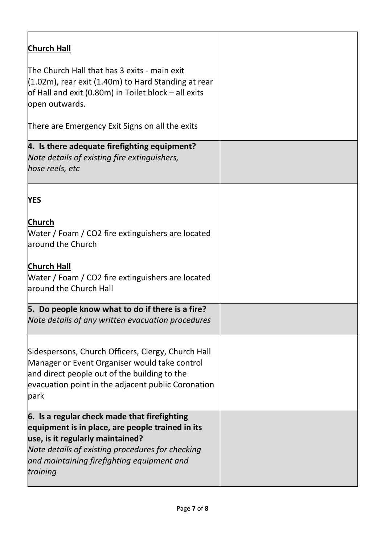| <b>Church Hall</b>                                                                                                                                                                                                                                 |  |
|----------------------------------------------------------------------------------------------------------------------------------------------------------------------------------------------------------------------------------------------------|--|
| The Church Hall that has 3 exits - main exit<br>$(1.02m)$ , rear exit (1.40m) to Hard Standing at rear<br>of Hall and exit (0.80m) in Toilet block $-$ all exits<br>open outwards.                                                                 |  |
| There are Emergency Exit Signs on all the exits                                                                                                                                                                                                    |  |
| 4. Is there adequate firefighting equipment?<br>Note details of existing fire extinguishers,<br>hose reels, etc                                                                                                                                    |  |
| <b>YES</b>                                                                                                                                                                                                                                         |  |
| <b>Church</b><br>Water / Foam / CO2 fire extinguishers are located<br>around the Church                                                                                                                                                            |  |
| <b>Church Hall</b><br>Water / Foam / CO2 fire extinguishers are located<br>around the Church Hall                                                                                                                                                  |  |
| 5. Do people know what to do if there is a fire?<br>Note details of any written evacuation procedures                                                                                                                                              |  |
| Sidespersons, Church Officers, Clergy, Church Hall<br>Manager or Event Organiser would take control<br>and direct people out of the building to the<br>evacuation point in the adjacent public Coronation<br>park                                  |  |
| 6. Is a regular check made that firefighting<br>equipment is in place, are people trained in its<br>use, is it regularly maintained?<br>Note details of existing procedures for checking<br>and maintaining firefighting equipment and<br>training |  |